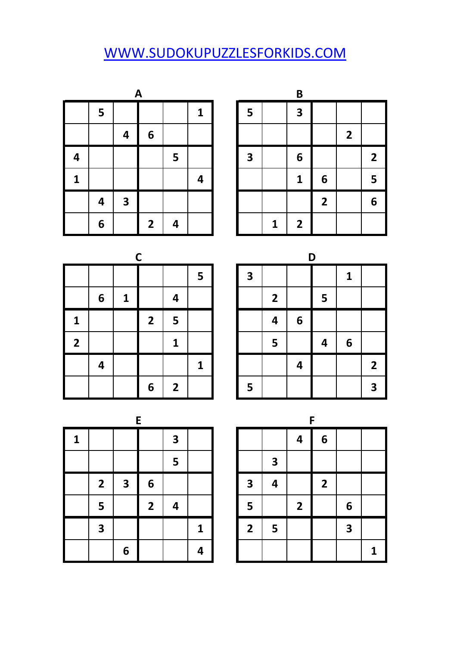## [W](http://www.sudokupuzzlesforkids.com/)WW.SUDOKUPUZZLESFORKIDS.COM

|   | A |   |                |   |   |  |   |             | B              |                |              |                         |
|---|---|---|----------------|---|---|--|---|-------------|----------------|----------------|--------------|-------------------------|
|   | 5 |   |                |   | 1 |  | 5 |             | 3              |                |              |                         |
|   |   | 4 | 6              |   |   |  |   |             |                |                | $\mathbf{2}$ |                         |
| 4 |   |   |                | 5 |   |  | 3 |             | 6              |                |              | $\overline{\mathbf{2}}$ |
| 1 |   |   |                |   | 4 |  |   |             | 1              | 6              |              | 5                       |
|   | 4 | 3 |                |   |   |  |   |             |                | $\overline{2}$ |              | 6                       |
|   | 6 |   | $\overline{2}$ | 4 |   |  |   | $\mathbf 1$ | $\overline{2}$ |                |              |                         |

|   | A                       |                |   |   |              |              | B              |                |                |                |
|---|-------------------------|----------------|---|---|--------------|--------------|----------------|----------------|----------------|----------------|
| 5 |                         |                |   | 1 | 5            |              | 3              |                |                |                |
|   | 4                       | 6              |   |   |              |              |                |                | $\overline{2}$ |                |
|   |                         |                | 5 |   | $\mathbf{3}$ |              | 6              |                |                | $\overline{2}$ |
|   |                         |                |   | 4 |              |              | 1              | 6              |                | 5              |
| 4 | $\overline{\mathbf{3}}$ |                |   |   |              |              |                | $\overline{2}$ |                | 6              |
| 6 |                         | $\overline{2}$ | 4 |   |              | $\mathbf{1}$ | $\overline{2}$ |                |                |                |

|                     |   |              | $\mathsf{C}$   |                |                 |   |                |   | D |   |
|---------------------|---|--------------|----------------|----------------|-----------------|---|----------------|---|---|---|
|                     |   |              |                |                | $5\overline{)}$ | 3 |                |   |   | 1 |
|                     | 6 | $\mathbf{1}$ |                | 4              |                 |   | $\overline{2}$ |   | 5 |   |
|                     |   |              | $\overline{2}$ | 5              |                 |   | 4              | 6 |   |   |
| I<br>$\overline{2}$ |   |              |                | $\mathbf{1}$   |                 |   | 5              |   | 4 | 6 |
|                     | 4 |              |                |                | 1               |   |                | 4 |   |   |
|                     |   |              | 6              | $\overline{2}$ |                 | 5 |                |   |   |   |

|   |   | r              |                         |   |                         |                |   | n |   |                |
|---|---|----------------|-------------------------|---|-------------------------|----------------|---|---|---|----------------|
|   |   |                |                         | 5 | $\overline{\mathbf{3}}$ |                |   |   | 1 |                |
| 6 | 1 |                | 4                       |   |                         | $\overline{2}$ |   | 5 |   |                |
|   |   | $\overline{2}$ | 5                       |   |                         | 4              | 6 |   |   |                |
|   |   |                | 1                       |   |                         | 5              |   | 4 | 6 |                |
| 4 |   |                |                         | 1 |                         |                | 4 |   |   | $\overline{2}$ |
|   |   | 6              | $\overline{\mathbf{2}}$ |   | 5                       |                |   |   |   | 3              |

|              |                         |                         | E                       |                         |   |                         |                         |                | F            |   |
|--------------|-------------------------|-------------------------|-------------------------|-------------------------|---|-------------------------|-------------------------|----------------|--------------|---|
| $\mathbf{1}$ |                         |                         |                         | $\overline{\mathbf{3}}$ |   |                         |                         | 4              | 6            |   |
|              |                         |                         |                         | 5                       |   |                         | $\overline{\mathbf{3}}$ |                |              |   |
|              | $\overline{2}$          | $\overline{\mathbf{3}}$ | 6                       |                         |   | $\overline{\mathbf{3}}$ | 4                       |                | $\mathbf{2}$ |   |
|              | 5                       |                         | $\overline{\mathbf{2}}$ | 4                       |   | 5                       |                         | $\overline{2}$ |              | 6 |
|              | $\overline{\mathbf{3}}$ |                         |                         |                         | 1 | $\overline{2}$          | 5                       |                |              | 3 |
|              |                         | 6                       |                         |                         | 4 |                         |                         |                |              |   |

|   | E              |                         |   |                         |                         |                         | F              |                         |   |
|---|----------------|-------------------------|---|-------------------------|-------------------------|-------------------------|----------------|-------------------------|---|
|   |                | $\overline{\mathbf{3}}$ |   |                         |                         | 4                       | 6              |                         |   |
|   |                | 5                       |   |                         | $\overline{\mathbf{3}}$ |                         |                |                         |   |
| 3 | 6              |                         |   | 3                       | 4                       |                         | $\overline{2}$ |                         |   |
|   | $\overline{2}$ | 4                       |   | 5                       |                         | $\overline{\mathbf{2}}$ |                | 6                       |   |
|   |                |                         | 1 | $\overline{\mathbf{2}}$ | 5                       |                         |                | $\overline{\mathbf{3}}$ |   |
| 6 |                |                         | 4 |                         |                         |                         |                |                         | 1 |